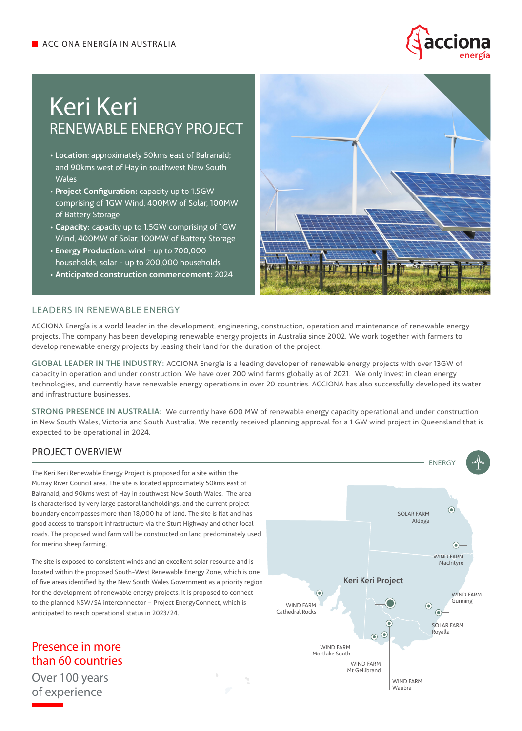

# Keri Keri RENEWABLE ENERGY PROJECT

- **Location**: approximately 50kms east of Balranald; and 90kms west of Hay in southwest New South Wales
- **Project Configuration:** capacity up to 1.5GW comprising of 1GW Wind, 400MW of Solar, 100MW of Battery Storage
- **Capacity:** capacity up to 1.5GW comprising of 1GW Wind, 400MW of Solar, 100MW of Battery Storage
- **Energy Production:** wind up to 700,000 households, solar - up to 200,000 households
- **Anticipated construction commencement:** 2024



#### LEADERS IN RENEWABLE ENERGY

ACCIONA Energía is a world leader in the development, engineering, construction, operation and maintenance of renewable energy projects. The company has been developing renewable energy projects in Australia since 2002. We work together with farmers to develop renewable energy projects by leasing their land for the duration of the project.

GLOBAL LEADER IN THE INDUSTRY: ACCIONA Energía is a leading developer of renewable energy projects with over 13GW of capacity in operation and under construction. We have over 200 wind farms globally as of 2021. We only invest in clean energy technologies, and currently have renewable energy operations in over 20 countries. ACCIONA has also successfully developed its water and infrastructure businesses.

STRONG PRESENCE IN AUSTRALIA: We currently have 600 MW of renewable energy capacity operational and under construction in New South Wales, Victoria and South Australia. We recently received planning approval for a 1 GW wind project in Queensland that is expected to be operational in 2024.

# PROJECT OVERVIEW

The Keri Keri Renewable Energy Project is proposed for a site within the Murray River Council area. The site is located approximately 50kms east of Balranald; and 90kms west of Hay in southwest New South Wales. The area is characterised by very large pastoral landholdings, and the current project boundary encompasses more than 18,000 ha of land. The site is flat and has good access to transport infrastructure via the Sturt Highway and other local roads. The proposed wind farm will be constructed on land predominately used for merino sheep farming.

The site is exposed to consistent winds and an excellent solar resource and is located within the proposed South-West Renewable Energy Zone, which is one of five areas identified by the New South Wales Government as a priority region for the development of renewable energy projects. It is proposed to connect to the planned NSW/SA interconnector – Project EnergyConnect, which is anticipated to reach operational status in 2023/24.

Presence in more than 60 countries Over 100 years of experience